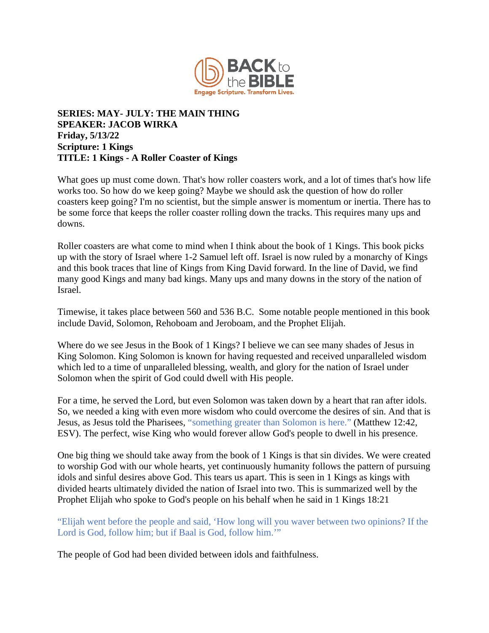

## **SERIES: MAY- JULY: THE MAIN THING SPEAKER: JACOB WIRKA Friday, 5/13/22 Scripture: 1 Kings TITLE: 1 Kings - A Roller Coaster of Kings**

What goes up must come down. That's how roller coasters work, and a lot of times that's how life works too. So how do we keep going? Maybe we should ask the question of how do roller coasters keep going? I'm no scientist, but the simple answer is momentum or inertia. There has to be some force that keeps the roller coaster rolling down the tracks. This requires many ups and downs.

Roller coasters are what come to mind when I think about the book of 1 Kings. This book picks up with the story of Israel where 1-2 Samuel left off. Israel is now ruled by a monarchy of Kings and this book traces that line of Kings from King David forward. In the line of David, we find many good Kings and many bad kings. Many ups and many downs in the story of the nation of Israel.

Timewise, it takes place between 560 and 536 B.C. Some notable people mentioned in this book include David, Solomon, Rehoboam and Jeroboam, and the Prophet Elijah.

Where do we see Jesus in the Book of 1 Kings? I believe we can see many shades of Jesus in King Solomon. King Solomon is known for having requested and received unparalleled wisdom which led to a time of unparalleled blessing, wealth, and glory for the nation of Israel under Solomon when the spirit of God could dwell with His people.

For a time, he served the Lord, but even Solomon was taken down by a heart that ran after idols. So, we needed a king with even more wisdom who could overcome the desires of sin. And that is Jesus, as Jesus told the Pharisees, "something greater than Solomon is here." (Matthew 12:42, ESV). The perfect, wise King who would forever allow God's people to dwell in his presence.

One big thing we should take away from the book of 1 Kings is that sin divides. We were created to worship God with our whole hearts, yet continuously humanity follows the pattern of pursuing idols and sinful desires above God. This tears us apart. This is seen in 1 Kings as kings with divided hearts ultimately divided the nation of Israel into two. This is summarized well by the Prophet Elijah who spoke to God's people on his behalf when he said in 1 Kings 18:21

"Elijah went before the people and said, 'How long will you waver between two opinions? If the Lord is God, follow him; but if Baal is God, follow him.'"

The people of God had been divided between idols and faithfulness.